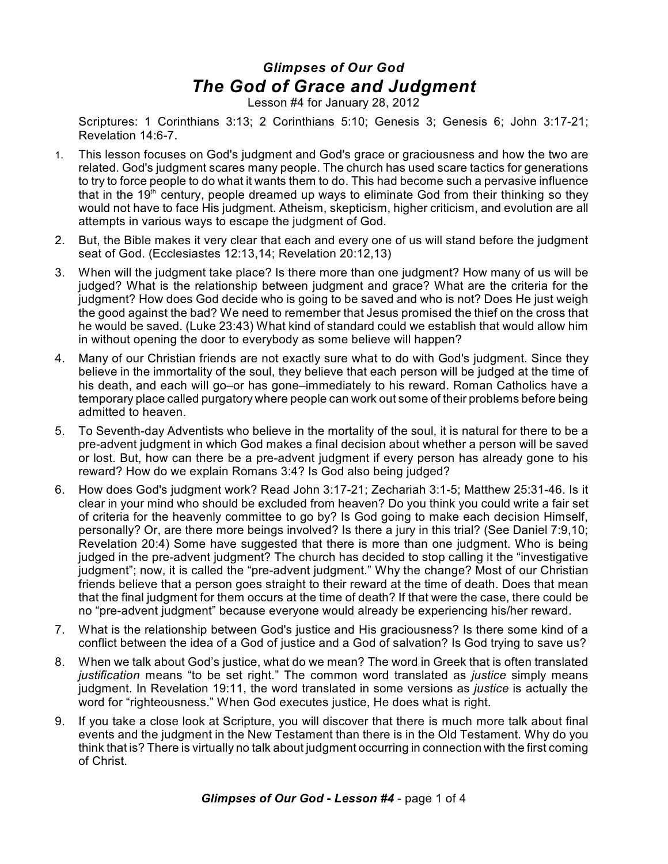## *Glimpses of Our God The God of Grace and Judgment*

Lesson #4 for January 28, 2012

Scriptures: 1 Corinthians 3:13; 2 Corinthians 5:10; Genesis 3; Genesis 6; John 3:17-21; Revelation 14:6-7.

- 1. This lesson focuses on God's judgment and God's grace or graciousness and how the two are related. God's judgment scares many people. The church has used scare tactics for generations to try to force people to do what it wants them to do. This had become such a pervasive influence that in the 19<sup>th</sup> century, people dreamed up ways to eliminate God from their thinking so they would not have to face His judgment. Atheism, skepticism, higher criticism, and evolution are all attempts in various ways to escape the judgment of God.
- 2. But, the Bible makes it very clear that each and every one of us will stand before the judgment seat of God. (Ecclesiastes 12:13,14; Revelation 20:12,13)
- 3. When will the judgment take place? Is there more than one judgment? How many of us will be judged? What is the relationship between judgment and grace? What are the criteria for the judgment? How does God decide who is going to be saved and who is not? Does He just weigh the good against the bad? We need to remember that Jesus promised the thief on the cross that he would be saved. (Luke 23:43) What kind of standard could we establish that would allow him in without opening the door to everybody as some believe will happen?
- 4. Many of our Christian friends are not exactly sure what to do with God's judgment. Since they believe in the immortality of the soul, they believe that each person will be judged at the time of his death, and each will go–or has gone–immediately to his reward. Roman Catholics have a temporary place called purgatory where people can work out some of their problems before being admitted to heaven.
- 5. To Seventh-day Adventists who believe in the mortality of the soul, it is natural for there to be a pre-advent judgment in which God makes a final decision about whether a person will be saved or lost. But, how can there be a pre-advent judgment if every person has already gone to his reward? How do we explain Romans 3:4? Is God also being judged?
- 6. How does God's judgment work? Read John 3:17-21; Zechariah 3:1-5; Matthew 25:31-46. Is it clear in your mind who should be excluded from heaven? Do you think you could write a fair set of criteria for the heavenly committee to go by? Is God going to make each decision Himself, personally? Or, are there more beings involved? Is there a jury in this trial? (See Daniel 7:9,10; Revelation 20:4) Some have suggested that there is more than one judgment. Who is being judged in the pre-advent judgment? The church has decided to stop calling it the "investigative judgment"; now, it is called the "pre-advent judgment." Why the change? Most of our Christian friends believe that a person goes straight to their reward at the time of death. Does that mean that the final judgment for them occurs at the time of death? If that were the case, there could be no "pre-advent judgment" because everyone would already be experiencing his/her reward.
- 7. What is the relationship between God's justice and His graciousness? Is there some kind of a conflict between the idea of a God of justice and a God of salvation? Is God trying to save us?
- 8. When we talk about God's justice, what do we mean? The word in Greek that is often translated *justification* means "to be set right." The common word translated as *justice* simply means judgment. In Revelation 19:11, the word translated in some versions as *justice* is actually the word for "righteousness." When God executes justice, He does what is right.
- 9. If you take a close look at Scripture, you will discover that there is much more talk about final events and the judgment in the New Testament than there is in the Old Testament. Why do you think that is? There is virtually no talk about judgment occurring in connection with the first coming of Christ.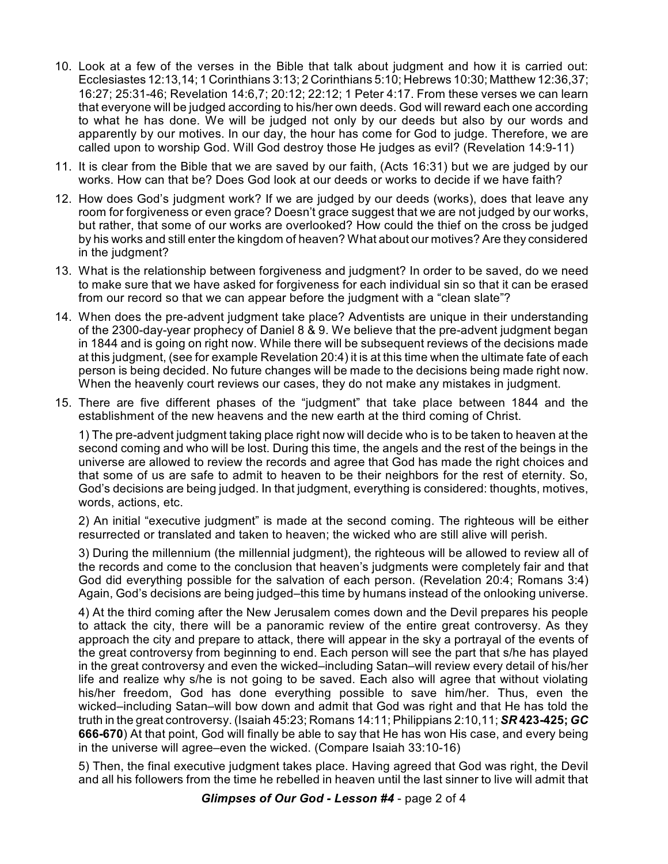- 10. Look at a few of the verses in the Bible that talk about judgment and how it is carried out: Ecclesiastes 12:13,14; 1 Corinthians 3:13; 2 Corinthians 5:10; Hebrews 10:30; Matthew 12:36,37; 16:27; 25:31-46; Revelation 14:6,7; 20:12; 22:12; 1 Peter 4:17. From these verses we can learn that everyone will be judged according to his/her own deeds. God will reward each one according to what he has done. We will be judged not only by our deeds but also by our words and apparently by our motives. In our day, the hour has come for God to judge. Therefore, we are called upon to worship God. Will God destroy those He judges as evil? (Revelation 14:9-11)
- 11. It is clear from the Bible that we are saved by our faith, (Acts 16:31) but we are judged by our works. How can that be? Does God look at our deeds or works to decide if we have faith?
- 12. How does God's judgment work? If we are judged by our deeds (works), does that leave any room for forgiveness or even grace? Doesn't grace suggest that we are not judged by our works, but rather, that some of our works are overlooked? How could the thief on the cross be judged by his works and still enter the kingdom of heaven? What about our motives? Are they considered in the judgment?
- 13. What is the relationship between forgiveness and judgment? In order to be saved, do we need to make sure that we have asked for forgiveness for each individual sin so that it can be erased from our record so that we can appear before the judgment with a "clean slate"?
- 14. When does the pre-advent judgment take place? Adventists are unique in their understanding of the 2300-day-year prophecy of Daniel 8 & 9. We believe that the pre-advent judgment began in 1844 and is going on right now. While there will be subsequent reviews of the decisions made at this judgment, (see for example Revelation 20:4) it is at this time when the ultimate fate of each person is being decided. No future changes will be made to the decisions being made right now. When the heavenly court reviews our cases, they do not make any mistakes in judgment.
- 15. There are five different phases of the "judgment" that take place between 1844 and the establishment of the new heavens and the new earth at the third coming of Christ.

1) The pre-advent judgment taking place right now will decide who is to be taken to heaven at the second coming and who will be lost. During this time, the angels and the rest of the beings in the universe are allowed to review the records and agree that God has made the right choices and that some of us are safe to admit to heaven to be their neighbors for the rest of eternity. So, God's decisions are being judged. In that judgment, everything is considered: thoughts, motives, words, actions, etc.

2) An initial "executive judgment" is made at the second coming. The righteous will be either resurrected or translated and taken to heaven; the wicked who are still alive will perish.

3) During the millennium (the millennial judgment), the righteous will be allowed to review all of the records and come to the conclusion that heaven's judgments were completely fair and that God did everything possible for the salvation of each person. (Revelation 20:4; Romans 3:4) Again, God's decisions are being judged–this time by humans instead of the onlooking universe.

4) At the third coming after the New Jerusalem comes down and the Devil prepares his people to attack the city, there will be a panoramic review of the entire great controversy. As they approach the city and prepare to attack, there will appear in the sky a portrayal of the events of the great controversy from beginning to end. Each person will see the part that s/he has played in the great controversy and even the wicked–including Satan–will review every detail of his/her life and realize why s/he is not going to be saved. Each also will agree that without violating his/her freedom, God has done everything possible to save him/her. Thus, even the wicked–including Satan–will bow down and admit that God was right and that He has told the truth in the great controversy. (Isaiah 45:23; Romans 14:11; Philippians 2:10,11; *SR* **423-425;** *GC* **666-670**) At that point, God will finally be able to say that He has won His case, and every being in the universe will agree–even the wicked. (Compare Isaiah 33:10-16)

5) Then, the final executive judgment takes place. Having agreed that God was right, the Devil and all his followers from the time he rebelled in heaven until the last sinner to live will admit that

*Glimpses of Our God - Lesson #4* - page 2 of 4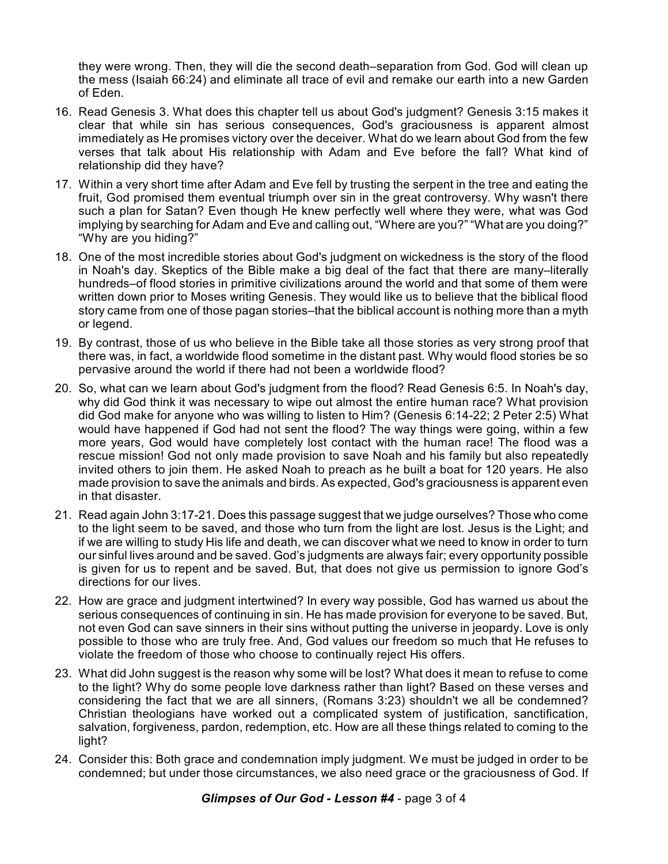they were wrong. Then, they will die the second death–separation from God. God will clean up the mess (Isaiah 66:24) and eliminate all trace of evil and remake our earth into a new Garden of Eden.

- 16. Read Genesis 3. What does this chapter tell us about God's judgment? Genesis 3:15 makes it clear that while sin has serious consequences, God's graciousness is apparent almost immediately as He promises victory over the deceiver. What do we learn about God from the few verses that talk about His relationship with Adam and Eve before the fall? What kind of relationship did they have?
- 17. Within a very short time after Adam and Eve fell by trusting the serpent in the tree and eating the fruit, God promised them eventual triumph over sin in the great controversy. Why wasn't there such a plan for Satan? Even though He knew perfectly well where they were, what was God implying by searching for Adam and Eve and calling out, "Where are you?" "What are you doing?" "Why are you hiding?"
- 18. One of the most incredible stories about God's judgment on wickedness is the story of the flood in Noah's day. Skeptics of the Bible make a big deal of the fact that there are many–literally hundreds–of flood stories in primitive civilizations around the world and that some of them were written down prior to Moses writing Genesis. They would like us to believe that the biblical flood story came from one of those pagan stories–that the biblical account is nothing more than a myth or legend.
- 19. By contrast, those of us who believe in the Bible take all those stories as very strong proof that there was, in fact, a worldwide flood sometime in the distant past. Why would flood stories be so pervasive around the world if there had not been a worldwide flood?
- 20. So, what can we learn about God's judgment from the flood? Read Genesis 6:5. In Noah's day, why did God think it was necessary to wipe out almost the entire human race? What provision did God make for anyone who was willing to listen to Him? (Genesis 6:14-22; 2 Peter 2:5) What would have happened if God had not sent the flood? The way things were going, within a few more years, God would have completely lost contact with the human race! The flood was a rescue mission! God not only made provision to save Noah and his family but also repeatedly invited others to join them. He asked Noah to preach as he built a boat for 120 years. He also made provision to save the animals and birds. As expected, God's graciousness is apparent even in that disaster.
- 21. Read again John 3:17-21. Does this passage suggest that we judge ourselves? Those who come to the light seem to be saved, and those who turn from the light are lost. Jesus is the Light; and if we are willing to study His life and death, we can discover what we need to know in order to turn our sinful lives around and be saved. God's judgments are always fair; every opportunity possible is given for us to repent and be saved. But, that does not give us permission to ignore God's directions for our lives.
- 22. How are grace and judgment intertwined? In every way possible, God has warned us about the serious consequences of continuing in sin. He has made provision for everyone to be saved. But, not even God can save sinners in their sins without putting the universe in jeopardy. Love is only possible to those who are truly free. And, God values our freedom so much that He refuses to violate the freedom of those who choose to continually reject His offers.
- 23. What did John suggest is the reason why some will be lost? What does it mean to refuse to come to the light? Why do some people love darkness rather than light? Based on these verses and considering the fact that we are all sinners, (Romans 3:23) shouldn't we all be condemned? Christian theologians have worked out a complicated system of justification, sanctification, salvation, forgiveness, pardon, redemption, etc. How are all these things related to coming to the light?
- 24. Consider this: Both grace and condemnation imply judgment. We must be judged in order to be condemned; but under those circumstances, we also need grace or the graciousness of God. If